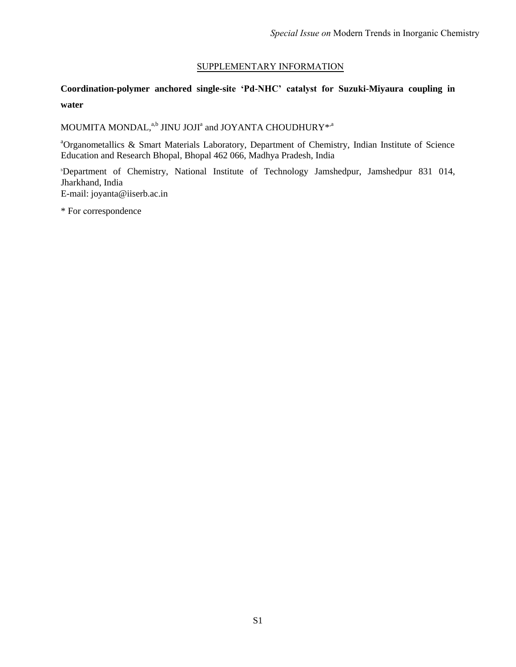## SUPPLEMENTARY INFORMATION

# **Coordination-polymer anchored single-site 'Pd-NHC' catalyst for Suzuki-Miyaura coupling in water**

## MOUMITA MONDAL, $^{\mathrm{a,b}}$  JINU JOJI $^{\mathrm{a}}$  and JOYANTA CHOUDHURY $^{*,\mathrm{a}}$

<sup>a</sup>Organometallics & Smart Materials Laboratory, Department of Chemistry, Indian Institute of Science Education and Research Bhopal, Bhopal 462 066, Madhya Pradesh, India

<sup>b</sup>Department of Chemistry, National Institute of Technology Jamshedpur, Jamshedpur 831 014, Jharkhand, India E-mail: joyanta@iiserb.ac.in

\* For correspondence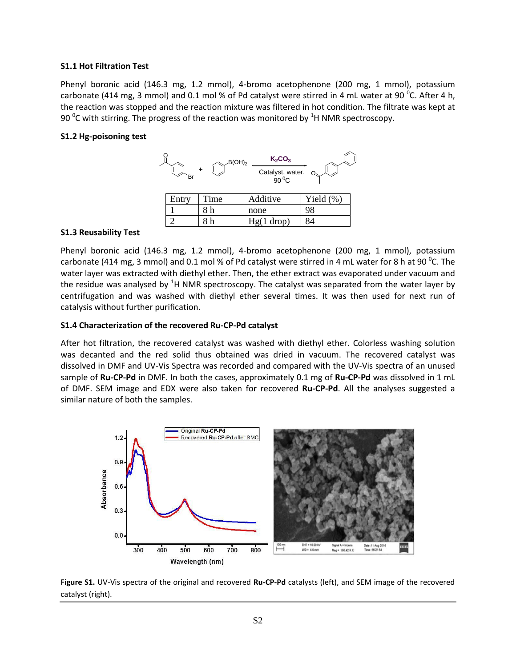#### **S1.1 Hot Filtration Test**

Phenyl boronic acid (146.3 mg, 1.2 mmol), 4-bromo acetophenone (200 mg, 1 mmol), potassium carbonate (414 mg, 3 mmol) and 0.1 mol % of Pd catalyst were stirred in 4 mL water at 90 <sup>o</sup>C. After 4 h, the reaction was stopped and the reaction mixture was filtered in hot condition. The filtrate was kept at 90  $\mathrm{^0C}$  with stirring. The progress of the reaction was monitored by  $\mathrm{^1H}$  NMR spectroscopy.

#### **S1.2 Hg-poisoning test**



#### **S1.3 Reusability Test**

Phenyl boronic acid (146.3 mg, 1.2 mmol), 4-bromo acetophenone (200 mg, 1 mmol), potassium carbonate (414 mg, 3 mmol) and 0.1 mol % of Pd catalyst were stirred in 4 mL water for 8 h at 90  $^0$ C. The water layer was extracted with diethyl ether. Then, the ether extract was evaporated under vacuum and the residue was analysed by  ${}^{1}$ H NMR spectroscopy. The catalyst was separated from the water layer by centrifugation and was washed with diethyl ether several times. It was then used for next run of catalysis without further purification.

#### **S1.4 Characterization of the recovered Ru-CP-Pd catalyst**

After hot filtration, the recovered catalyst was washed with diethyl ether. Colorless washing solution was decanted and the red solid thus obtained was dried in vacuum. The recovered catalyst was dissolved in DMF and UV-Vis Spectra was recorded and compared with the UV-Vis spectra of an unused sample of **Ru-CP-Pd** in DMF. In both the cases, approximately 0.1 mg of **Ru-CP-Pd** was dissolved in 1 mL of DMF. SEM image and EDX were also taken for recovered **Ru-CP-Pd**. All the analyses suggested a similar nature of both the samples.



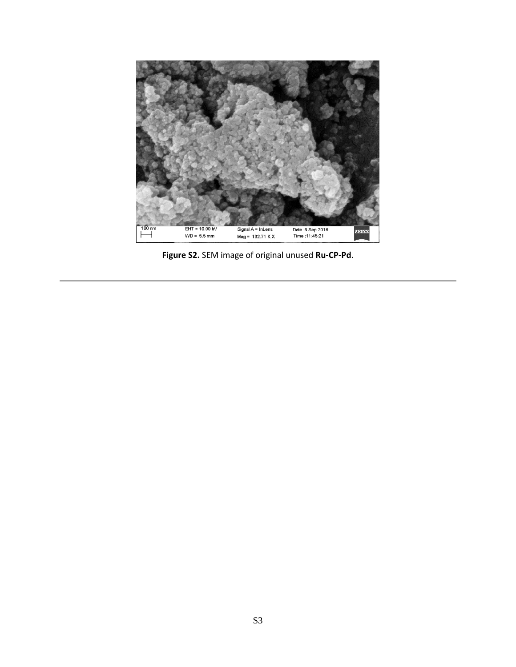

**Figure S2.** SEM image of original unused **Ru-CP-Pd**.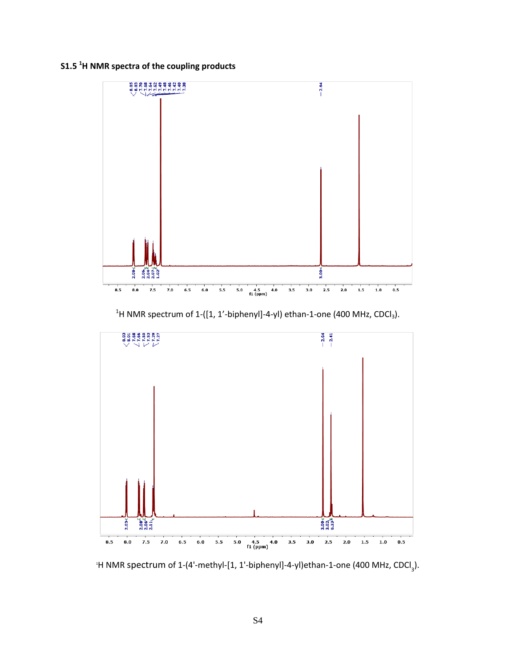## **S1.5 <sup>1</sup>H NMR spectra of the coupling products**



<sup>1</sup>H NMR spectrum of 1-([1, 1'-biphenyl]-4-yl) ethan-1-one (400 MHz, CDCl<sub>3</sub>).



<sup>1</sup>H NMR spectrum of 1-(4'-methyl-[1, 1'-biphenyl]-4-yl)ethan-1-one (400 MHz, CDCl<sub>3</sub>).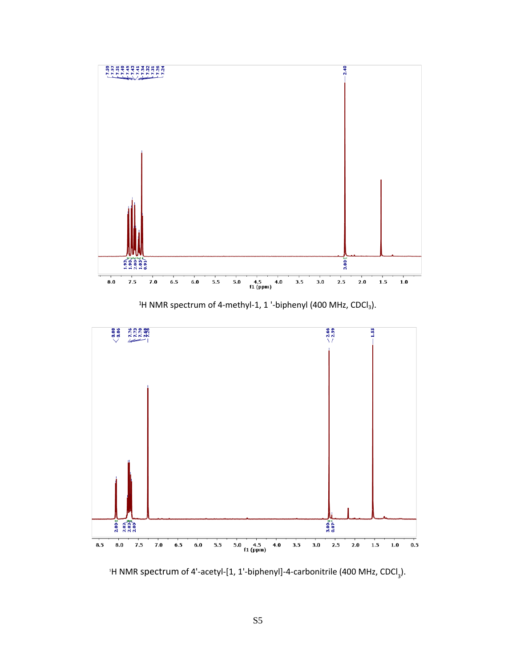

<sup>1</sup>H NMR spectrum of 4-methyl-1, 1 '-biphenyl (400 MHz, CDCl<sub>3</sub>).



<sup>1</sup>H NMR spectrum of 4'-acetyl-[1, 1'-biphenyl]-4-carbonitrile (400 MHz, CDCl<sub>3</sub>).